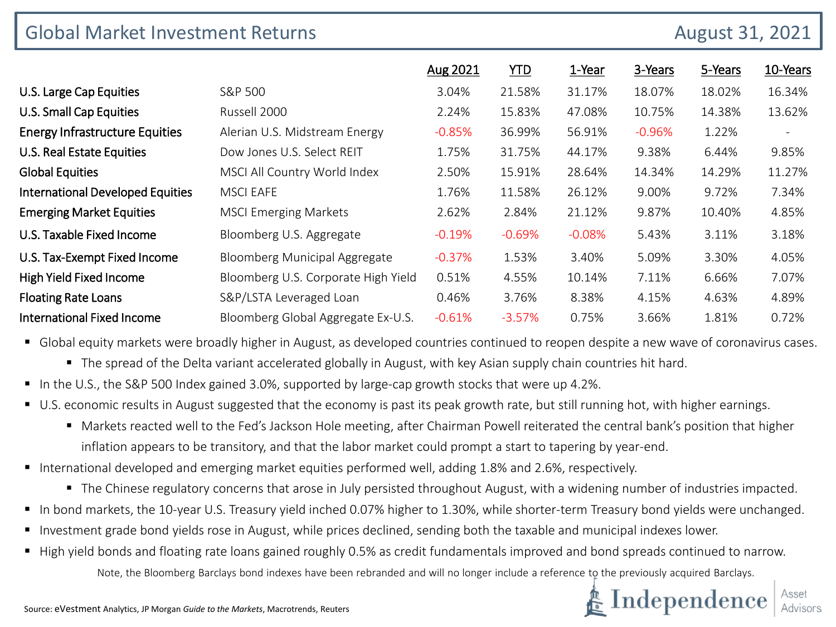| <b>Global Market Investment Returns</b><br>August 31, 2021 |                                      |          |            |          |          |         |          |  |
|------------------------------------------------------------|--------------------------------------|----------|------------|----------|----------|---------|----------|--|
|                                                            |                                      | Aug 2021 | <b>YTD</b> | 1-Year   | 3-Years  | 5-Years | 10-Years |  |
| U.S. Large Cap Equities                                    | S&P 500                              | 3.04%    | 21.58%     | 31.17%   | 18.07%   | 18.02%  | 16.34%   |  |
| U.S. Small Cap Equities                                    | Russell 2000                         | 2.24%    | 15.83%     | 47.08%   | 10.75%   | 14.38%  | 13.62%   |  |
| <b>Energy Infrastructure Equities</b>                      | Alerian U.S. Midstream Energy        | $-0.85%$ | 36.99%     | 56.91%   | $-0.96%$ | 1.22%   |          |  |
| U.S. Real Estate Equities                                  | Dow Jones U.S. Select REIT           | 1.75%    | 31.75%     | 44.17%   | 9.38%    | 6.44%   | 9.85%    |  |
| <b>Global Equities</b>                                     | MSCI All Country World Index         | 2.50%    | 15.91%     | 28.64%   | 14.34%   | 14.29%  | 11.27%   |  |
| <b>International Developed Equities</b>                    | <b>MSCI EAFE</b>                     | 1.76%    | 11.58%     | 26.12%   | 9.00%    | 9.72%   | 7.34%    |  |
| <b>Emerging Market Equities</b>                            | <b>MSCI Emerging Markets</b>         | 2.62%    | 2.84%      | 21.12%   | 9.87%    | 10.40%  | 4.85%    |  |
| U.S. Taxable Fixed Income                                  | Bloomberg U.S. Aggregate             | $-0.19%$ | $-0.69%$   | $-0.08%$ | 5.43%    | 3.11%   | 3.18%    |  |
| U.S. Tax-Exempt Fixed Income                               | <b>Bloomberg Municipal Aggregate</b> | $-0.37%$ | 1.53%      | 3.40%    | 5.09%    | 3.30%   | 4.05%    |  |
| High Yield Fixed Income                                    | Bloomberg U.S. Corporate High Yield  | 0.51%    | 4.55%      | 10.14%   | 7.11%    | 6.66%   | 7.07%    |  |
| <b>Floating Rate Loans</b>                                 | S&P/LSTA Leveraged Loan              | 0.46%    | 3.76%      | 8.38%    | 4.15%    | 4.63%   | 4.89%    |  |
| <b>International Fixed Income</b>                          | Bloomberg Global Aggregate Ex-U.S.   | $-0.61%$ | $-3.57%$   | 0.75%    | 3.66%    | 1.81%   | 0.72%    |  |

**G** Global equity markets were broadly higher in August, as developed countries continued to reopen despite a new wave of coronavirus cases.

- The spread of the Delta variant accelerated globally in August, with key Asian supply chain countries hit hard.
- In the U.S., the S&P 500 Index gained 3.0%, supported by large-cap growth stocks that were up 4.2%.
- U.S. economic results in August suggested that the economy is past its peak growth rate, but still running hot, with higher earnings.
	- Markets reacted well to the Fed's Jackson Hole meeting, after Chairman Powell reiterated the central bank's position that higher inflation appears to be transitory, and that the labor market could prompt a start to tapering by year-end.
- International developed and emerging market equities performed well, adding 1.8% and 2.6%, respectively.
	- The Chinese regulatory concerns that arose in July persisted throughout August, with a widening number of industries impacted.
- In bond markets, the 10-year U.S. Treasury yield inched 0.07% higher to 1.30%, while shorter-term Treasury bond yields were unchanged.
- Investment grade bond yields rose in August, while prices declined, sending both the taxable and municipal indexes lower.
- High yield bonds and floating rate loans gained roughly 0.5% as credit fundamentals improved and bond spreads continued to narrow.

Note, the Bloomberg Barclays bond indexes have been rebranded and will no longer include a reference to the previously acquired Barclays.

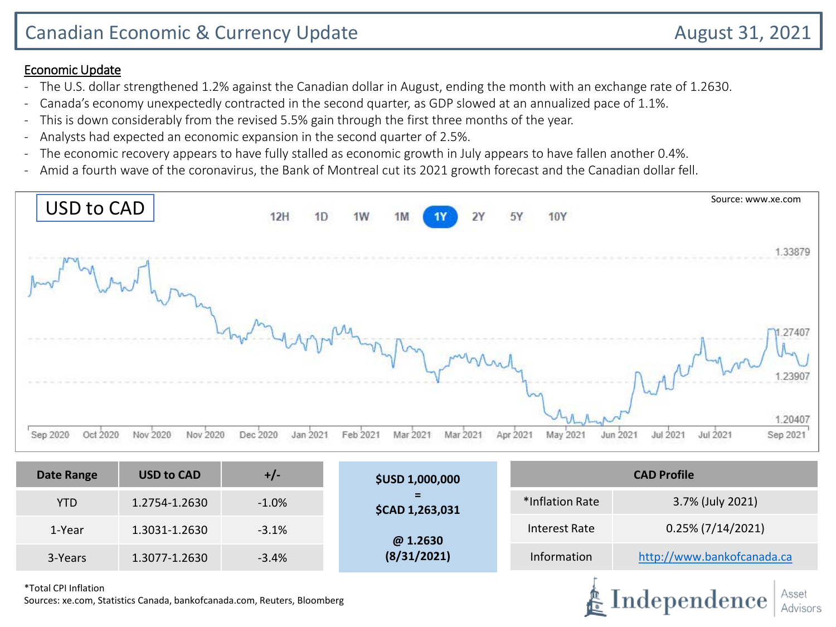### Economic Update

- The U.S. dollar strengthened 1.2% against the Canadian dollar in August, ending the month with an exchange rate of 1.2630.
- Canada's economy unexpectedly contracted in the second quarter, as GDP slowed at an annualized pace of 1.1%.
- This is down considerably from the revised 5.5% gain through the first three months of the year.
- Analysts had expected an economic expansion in the second quarter of 2.5%.
- The economic recovery appears to have fully stalled as economic growth in July appears to have fallen another 0.4%.
- Amid a fourth wave of the coronavirus, the Bank of Montreal cut its 2021 growth forecast and the Canadian dollar fell.



| <b>Date Range</b> | <b>USD to CAD</b> | $+/-$   | <b>\$USD 1,000,000</b> | <b>CAD Profile</b>                  |                            |  |  |
|-------------------|-------------------|---------|------------------------|-------------------------------------|----------------------------|--|--|
| <b>YTD</b>        | 1.2754-1.2630     | $-1.0%$ | \$CAD 1,263,031        | 3.7% (July 2021)<br>*Inflation Rate |                            |  |  |
| 1-Year            | 1.3031-1.2630     | $-3.1%$ | @ 1.2630               | Interest Rate                       | $0.25\%$ (7/14/2021)       |  |  |
| 3-Years           | 1.3077-1.2630     | $-3.4%$ | (8/31/2021)            | Information                         | http://www.bankofcanada.ca |  |  |
|                   |                   |         |                        |                                     |                            |  |  |

\*Total CPI Inflation

Sources: xe.com, Statistics Canada, bankofcanada.com, Reuters, Bloomberg

Independence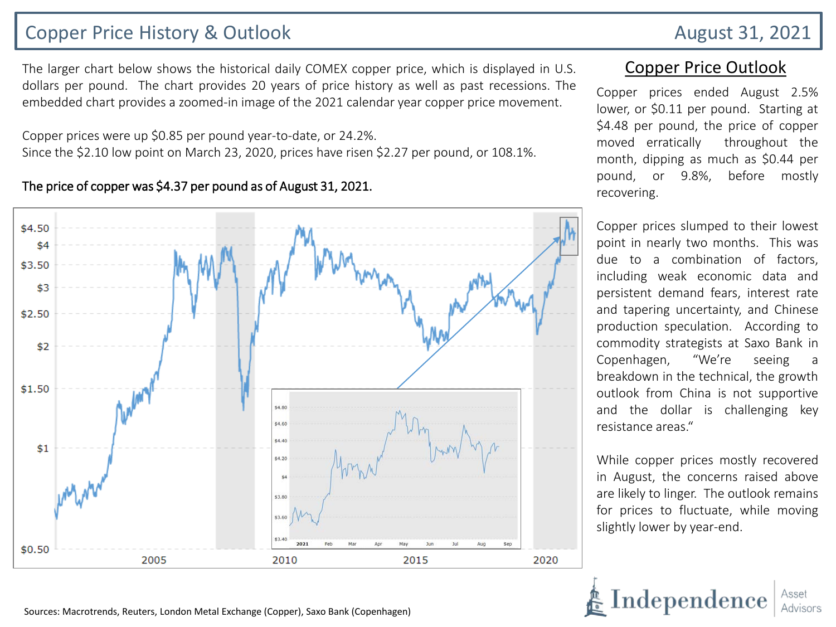# Copper Price History & Outlook **August 31, 2021**

The larger chart below shows the historical daily COMEX copper price, which is displayed in U.S. dollars per pound. The chart provides 20 years of price history as well as past recessions. The embedded chart provides a zoomed-in image of the 2021 calendar year copper price movement.

Copper prices were up \$0.85 per pound year-to-date, or 24.2%. Since the \$2.10 low point on March 23, 2020, prices have risen \$2.27 per pound, or 108.1%.

#### The price of copper was \$4.37 per pound as of August 31, 2021.



#### Copper Price Outlook

Copper prices ended August 2.5% lower, or \$0.11 per pound. Starting at \$4.48 per pound, the price of copper moved erratically throughout the month, dipping as much as \$0.44 per pound, or 9.8%, before mostly recovering.

Copper prices slumped to their lowest point in nearly two months. This was due to a combination of factors, including weak economic data and persistent demand fears, interest rate and tapering uncertainty, and Chinese production speculation. According to commodity strategists at Saxo Bank in Copenhagen, "We're seeing a breakdown in the technical, the growth outlook from China is not supportive and the dollar is challenging key resistance areas."

While copper prices mostly recovered in August, the concerns raised above are likely to linger. The outlook remains for prices to fluctuate, while moving slightly lower by year-end.

Independenc

Sources: Macrotrends, Reuters, London Metal Exchange (Copper), Saxo Bank (Copenhagen)